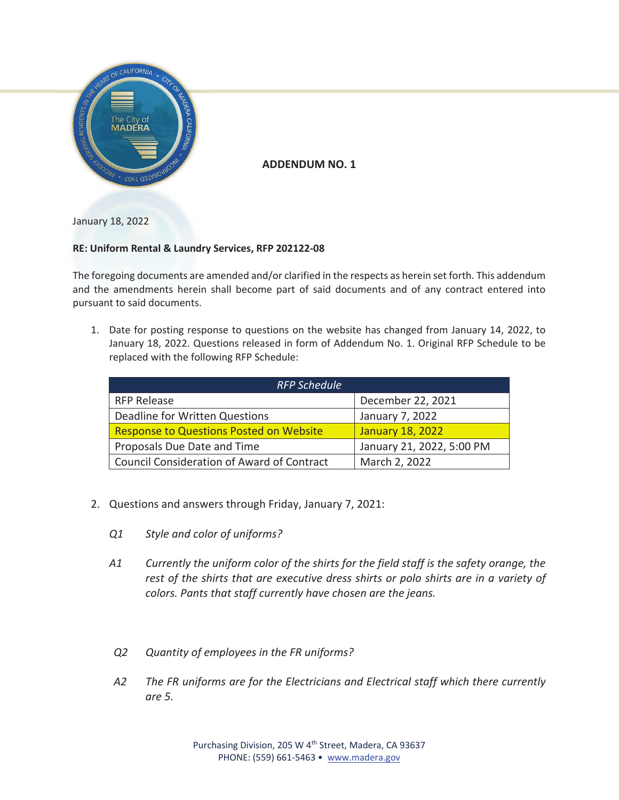

**ADDENDUM NO. 1** 

January 18, 2022

## **RE: Uniform Rental & Laundry Services, RFP 202122-08**

The foregoing documents are amended and/or clarified in the respects as herein set forth. This addendum and the amendments herein shall become part of said documents and of any contract entered into pursuant to said documents.

1. Date for posting response to questions on the website has changed from January 14, 2022, to January 18, 2022. Questions released in form of Addendum No. 1. Original RFP Schedule to be replaced with the following RFP Schedule:

| <b>RFP Schedule</b>                               |                           |
|---------------------------------------------------|---------------------------|
| <b>RFP Release</b>                                | December 22, 2021         |
| Deadline for Written Questions                    | January 7, 2022           |
| <b>Response to Questions Posted on Website</b>    | <b>January 18, 2022</b>   |
| Proposals Due Date and Time                       | January 21, 2022, 5:00 PM |
| <b>Council Consideration of Award of Contract</b> | March 2, 2022             |

- 2. Questions and answers through Friday, January 7, 2021:
	- *Q1 Style and color of uniforms?*
	- *A1 Currently the uniform color of the shirts for the field staff is the safety orange, the rest of the shirts that are executive dress shirts or polo shirts are in a variety of colors. Pants that staff currently have chosen are the jeans.*
	- *Q2 Quantity of employees in the FR uniforms?*
	- *A2 The FR uniforms are for the Electricians and Electrical staff which there currently are 5.*